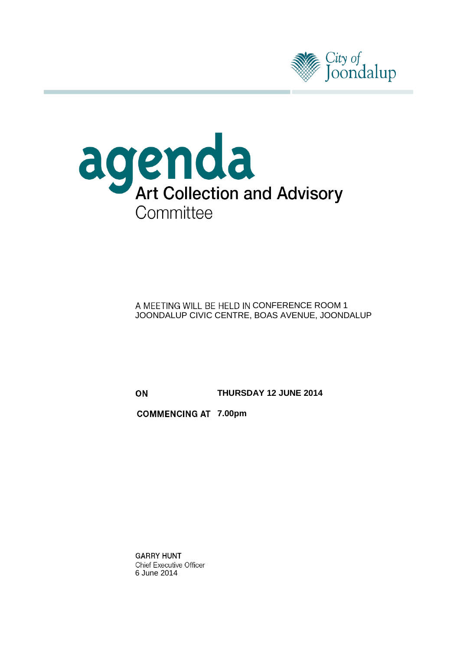



A MEETING WILL BE HELD IN CONFERENCE ROOM 1 JOONDALUP CIVIC CENTRE, BOAS AVENUE, JOONDALUP

ON

**THURSDAY 12 JUNE 2014**

**COMMENCING AT 7.00pm** 

**GARRY HUNT Chief Executive Officer** 6 June 2014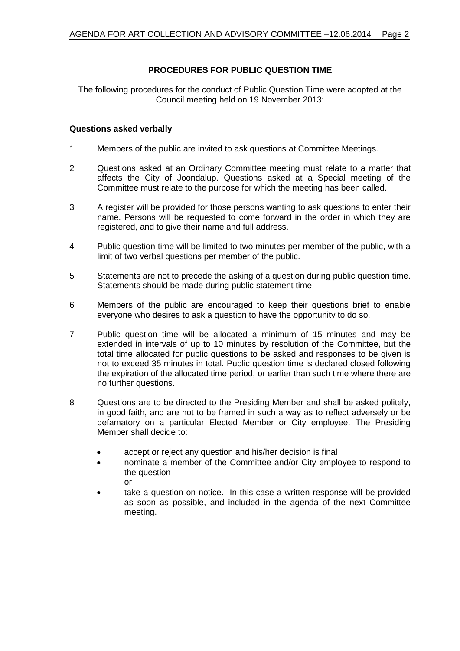#### **PROCEDURES FOR PUBLIC QUESTION TIME**

The following procedures for the conduct of Public Question Time were adopted at the Council meeting held on 19 November 2013:

#### **Questions asked verbally**

- 1 Members of the public are invited to ask questions at Committee Meetings.
- 2 Questions asked at an Ordinary Committee meeting must relate to a matter that affects the City of Joondalup. Questions asked at a Special meeting of the Committee must relate to the purpose for which the meeting has been called.
- 3 A register will be provided for those persons wanting to ask questions to enter their name. Persons will be requested to come forward in the order in which they are registered, and to give their name and full address.
- 4 Public question time will be limited to two minutes per member of the public, with a limit of two verbal questions per member of the public.
- 5 Statements are not to precede the asking of a question during public question time. Statements should be made during public statement time.
- 6 Members of the public are encouraged to keep their questions brief to enable everyone who desires to ask a question to have the opportunity to do so.
- 7 Public question time will be allocated a minimum of 15 minutes and may be extended in intervals of up to 10 minutes by resolution of the Committee, but the total time allocated for public questions to be asked and responses to be given is not to exceed 35 minutes in total. Public question time is declared closed following the expiration of the allocated time period, or earlier than such time where there are no further questions.
- 8 Questions are to be directed to the Presiding Member and shall be asked politely, in good faith, and are not to be framed in such a way as to reflect adversely or be defamatory on a particular Elected Member or City employee. The Presiding Member shall decide to:
	- accept or reject any question and his/her decision is final
	- nominate a member of the Committee and/or City employee to respond to the question or
	- take a question on notice. In this case a written response will be provided as soon as possible, and included in the agenda of the next Committee meeting.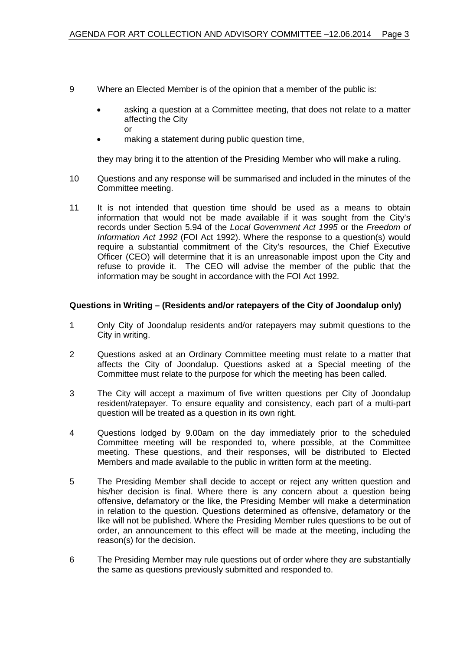- 9 Where an Elected Member is of the opinion that a member of the public is:
	- asking a question at a Committee meeting, that does not relate to a matter affecting the City or
	- making a statement during public question time,

they may bring it to the attention of the Presiding Member who will make a ruling.

- 10 Questions and any response will be summarised and included in the minutes of the Committee meeting.
- 11 It is not intended that question time should be used as a means to obtain information that would not be made available if it was sought from the City's records under Section 5.94 of the *Local Government Act 1995* or the *Freedom of Information Act 1992* (FOI Act 1992). Where the response to a question(s) would require a substantial commitment of the City's resources, the Chief Executive Officer (CEO) will determine that it is an unreasonable impost upon the City and refuse to provide it. The CEO will advise the member of the public that the information may be sought in accordance with the FOI Act 1992.

#### **Questions in Writing – (Residents and/or ratepayers of the City of Joondalup only)**

- 1 Only City of Joondalup residents and/or ratepayers may submit questions to the City in writing.
- 2 Questions asked at an Ordinary Committee meeting must relate to a matter that affects the City of Joondalup. Questions asked at a Special meeting of the Committee must relate to the purpose for which the meeting has been called.
- 3 The City will accept a maximum of five written questions per City of Joondalup resident/ratepayer. To ensure equality and consistency, each part of a multi-part question will be treated as a question in its own right.
- 4 Questions lodged by 9.00am on the day immediately prior to the scheduled Committee meeting will be responded to, where possible, at the Committee meeting. These questions, and their responses, will be distributed to Elected Members and made available to the public in written form at the meeting.
- 5 The Presiding Member shall decide to accept or reject any written question and his/her decision is final. Where there is any concern about a question being offensive, defamatory or the like, the Presiding Member will make a determination in relation to the question. Questions determined as offensive, defamatory or the like will not be published. Where the Presiding Member rules questions to be out of order, an announcement to this effect will be made at the meeting, including the reason(s) for the decision.
- 6 The Presiding Member may rule questions out of order where they are substantially the same as questions previously submitted and responded to.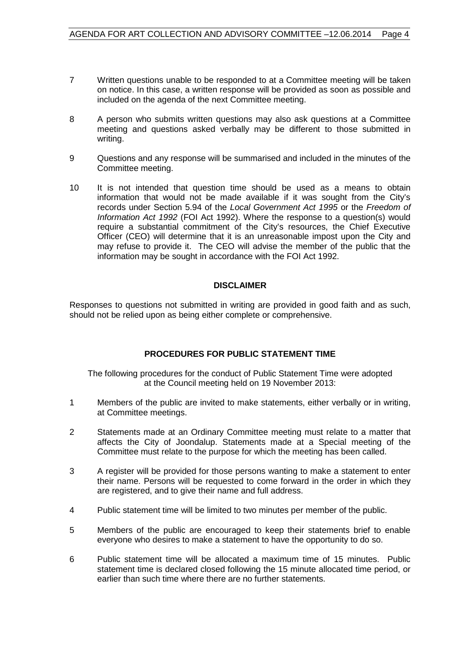- 7 Written questions unable to be responded to at a Committee meeting will be taken on notice. In this case, a written response will be provided as soon as possible and included on the agenda of the next Committee meeting.
- 8 A person who submits written questions may also ask questions at a Committee meeting and questions asked verbally may be different to those submitted in writing.
- 9 Questions and any response will be summarised and included in the minutes of the Committee meeting.
- 10 It is not intended that question time should be used as a means to obtain information that would not be made available if it was sought from the City's records under Section 5.94 of the *Local Government Act 1995* or the *Freedom of Information Act 1992* (FOI Act 1992). Where the response to a question(s) would require a substantial commitment of the City's resources, the Chief Executive Officer (CEO) will determine that it is an unreasonable impost upon the City and may refuse to provide it. The CEO will advise the member of the public that the information may be sought in accordance with the FOI Act 1992.

#### **DISCLAIMER**

Responses to questions not submitted in writing are provided in good faith and as such, should not be relied upon as being either complete or comprehensive.

#### **PROCEDURES FOR PUBLIC STATEMENT TIME**

The following procedures for the conduct of Public Statement Time were adopted at the Council meeting held on 19 November 2013:

- 1 Members of the public are invited to make statements, either verbally or in writing, at Committee meetings.
- 2 Statements made at an Ordinary Committee meeting must relate to a matter that affects the City of Joondalup. Statements made at a Special meeting of the Committee must relate to the purpose for which the meeting has been called.
- 3 A register will be provided for those persons wanting to make a statement to enter their name. Persons will be requested to come forward in the order in which they are registered, and to give their name and full address.
- 4 Public statement time will be limited to two minutes per member of the public.
- 5 Members of the public are encouraged to keep their statements brief to enable everyone who desires to make a statement to have the opportunity to do so.
- 6 Public statement time will be allocated a maximum time of 15 minutes. Public statement time is declared closed following the 15 minute allocated time period, or earlier than such time where there are no further statements.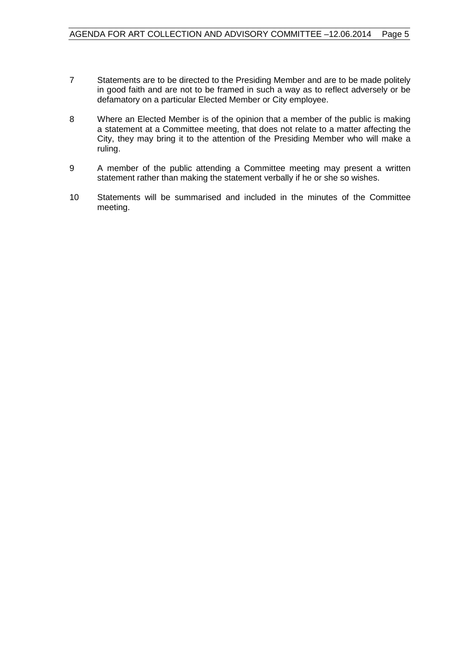- 7 Statements are to be directed to the Presiding Member and are to be made politely in good faith and are not to be framed in such a way as to reflect adversely or be defamatory on a particular Elected Member or City employee.
- 8 Where an Elected Member is of the opinion that a member of the public is making a statement at a Committee meeting, that does not relate to a matter affecting the City, they may bring it to the attention of the Presiding Member who will make a ruling.
- 9 A member of the public attending a Committee meeting may present a written statement rather than making the statement verbally if he or she so wishes.
- 10 Statements will be summarised and included in the minutes of the Committee meeting.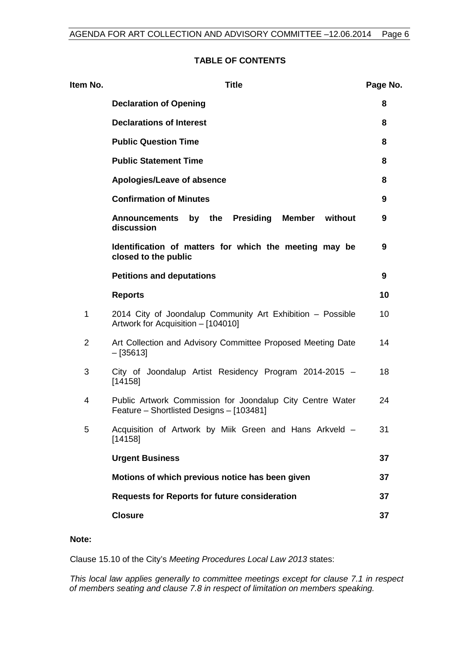#### **TABLE OF CONTENTS**

| <b>Title</b>                                                                                          | Page No. |
|-------------------------------------------------------------------------------------------------------|----------|
| <b>Declaration of Opening</b>                                                                         | 8        |
| <b>Declarations of Interest</b>                                                                       | 8        |
| <b>Public Question Time</b>                                                                           | 8        |
| <b>Public Statement Time</b>                                                                          | 8        |
| Apologies/Leave of absence                                                                            | 8        |
| <b>Confirmation of Minutes</b>                                                                        | 9        |
| by the<br><b>Presiding</b><br>Member without<br><b>Announcements</b><br>discussion                    | 9        |
| Identification of matters for which the meeting may be<br>closed to the public                        | 9        |
| <b>Petitions and deputations</b>                                                                      | 9        |
| <b>Reports</b>                                                                                        | 10       |
| 2014 City of Joondalup Community Art Exhibition - Possible<br>Artwork for Acquisition - [104010]      | 10       |
| Art Collection and Advisory Committee Proposed Meeting Date<br>$-[35613]$                             | 14       |
| City of Joondalup Artist Residency Program 2014-2015 -<br>[14158]                                     | 18       |
| Public Artwork Commission for Joondalup City Centre Water<br>Feature - Shortlisted Designs - [103481] | 24       |
| Acquisition of Artwork by Miik Green and Hans Arkveld -<br>[14158]                                    | 31       |
| <b>Urgent Business</b>                                                                                | 37       |
| Motions of which previous notice has been given                                                       | 37       |
| <b>Requests for Reports for future consideration</b>                                                  | 37       |
| <b>Closure</b>                                                                                        | 37       |
|                                                                                                       |          |

#### **Note:**

Clause 15.10 of the City's *Meeting Procedures Local Law 2013* states:

*This local law applies generally to committee meetings except for clause 7.1 in respect of members seating and clause 7.8 in respect of limitation on members speaking.*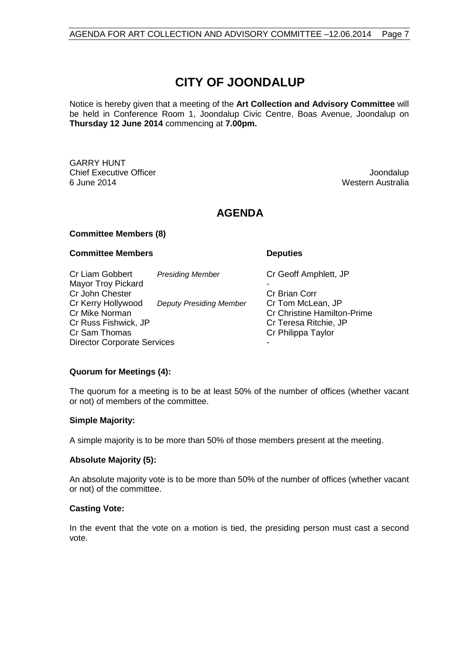## **CITY OF JOONDALUP**

Notice is hereby given that a meeting of the **Art Collection and Advisory Committee** will be held in Conference Room 1, Joondalup Civic Centre, Boas Avenue, Joondalup on **Thursday 12 June 2014** commencing at **7.00pm.**

GARRY HUNT **Chief Executive Officer Joseph According to the Chief Executive Officer Joondalup** 6 June 2014 Western Australia

## **AGENDA**

#### **Committee Members (8)**

#### **Committee Members Deputies**

Cr Liam Gobbert *Presiding Member* Cr Geoff Amphlett, JP Mayor Troy Pickard Cr John Chester Cr John Chester<br>Cr Kerry Hollywood Deputy Presiding Member Cr Tom McLean. JP Cr Kerry Hollywood *Deputy Presiding Member*<br>Cr Mike Norman Cr Mike Norman Cr Christine Hamilton-Prime<br>Cr Christine Hamilton-Prime<br>Cr Cr Christine Hamilton-Prime Cr Teresa Ritchie, JP Cr Sam Thomas Cr Philippa Taylor Director Corporate Services

#### **Quorum for Meetings (4):**

The quorum for a meeting is to be at least 50% of the number of offices (whether vacant or not) of members of the committee.

#### **Simple Majority:**

A simple majority is to be more than 50% of those members present at the meeting.

#### **Absolute Majority (5):**

An absolute majority vote is to be more than 50% of the number of offices (whether vacant or not) of the committee.

#### **Casting Vote:**

In the event that the vote on a motion is tied, the presiding person must cast a second vote.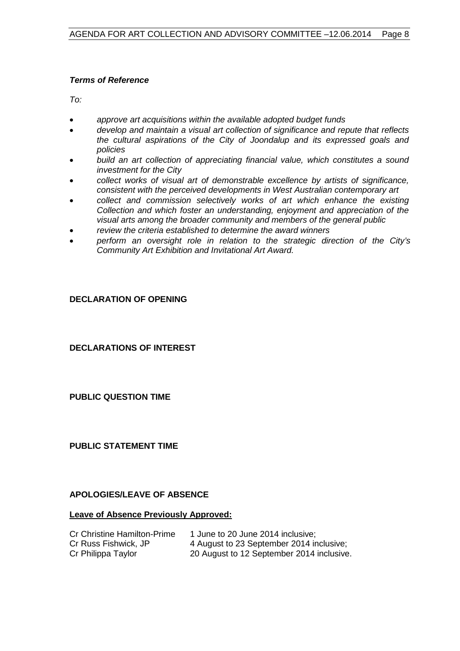#### *Terms of Reference*

*To:*

- *approve art acquisitions within the available adopted budget funds*
- *develop and maintain a visual art collection of significance and repute that reflects the cultural aspirations of the City of Joondalup and its expressed goals and policies*
- *build an art collection of appreciating financial value, which constitutes a sound investment for the City*
- *collect works of visual art of demonstrable excellence by artists of significance, consistent with the perceived developments in West Australian contemporary art*
- *collect and commission selectively works of art which enhance the existing Collection and which foster an understanding, enjoyment and appreciation of the visual arts among the broader community and members of the general public*
- *review the criteria established to determine the award winners*
- *perform an oversight role in relation to the strategic direction of the City's Community Art Exhibition and Invitational Art Award.*

#### <span id="page-7-0"></span>**DECLARATION OF OPENING**

<span id="page-7-1"></span>**DECLARATIONS OF INTEREST**

<span id="page-7-2"></span>**PUBLIC QUESTION TIME**

<span id="page-7-3"></span>**PUBLIC STATEMENT TIME**

#### <span id="page-7-4"></span>**APOLOGIES/LEAVE OF ABSENCE**

#### **Leave of Absence Previously Approved:**

| Cr Christine Hamilton-Prime | 1 June to 20 June 2014 inclusive;         |
|-----------------------------|-------------------------------------------|
| Cr Russ Fishwick, JP        | 4 August to 23 September 2014 inclusive;  |
| Cr Philippa Taylor          | 20 August to 12 September 2014 inclusive. |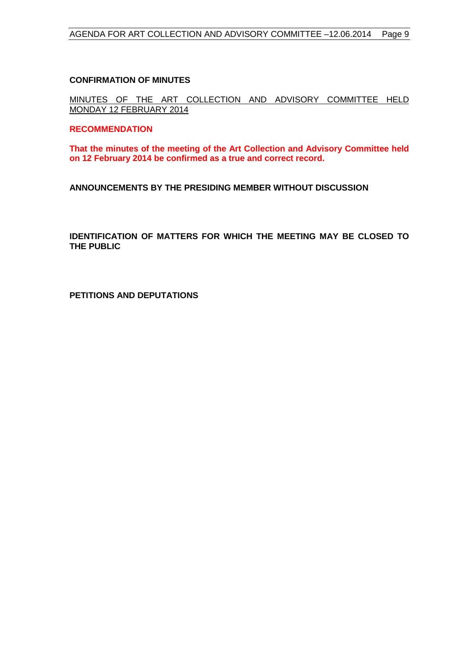#### <span id="page-8-0"></span>**CONFIRMATION OF MINUTES**

MINUTES OF THE ART COLLECTION AND ADVISORY COMMITTEE HELD MONDAY 12 FEBRUARY 2014

#### **RECOMMENDATION**

**That the minutes of the meeting of the Art Collection and Advisory Committee held on 12 February 2014 be confirmed as a true and correct record.**

<span id="page-8-1"></span>**ANNOUNCEMENTS BY THE PRESIDING MEMBER WITHOUT DISCUSSION**

<span id="page-8-2"></span>**IDENTIFICATION OF MATTERS FOR WHICH THE MEETING MAY BE CLOSED TO THE PUBLIC**

<span id="page-8-3"></span>**PETITIONS AND DEPUTATIONS**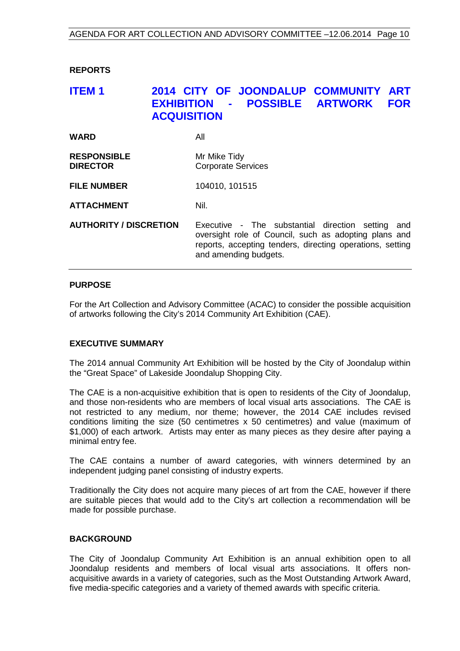<span id="page-9-0"></span>**REPORTS**

## <span id="page-9-1"></span>**ITEM 1 2014 CITY OF JOONDALUP COMMUNITY ART EXHIBITION - POSSIBLE ARTWORK FOR ACQUISITION**

| <b>WARD</b>                           | All                                                                                                                                                                                                 |
|---------------------------------------|-----------------------------------------------------------------------------------------------------------------------------------------------------------------------------------------------------|
| <b>RESPONSIBLE</b><br><b>DIRECTOR</b> | Mr Mike Tidy<br><b>Corporate Services</b>                                                                                                                                                           |
| <b>FILE NUMBER</b>                    | 104010, 101515                                                                                                                                                                                      |
| <b>ATTACHMENT</b>                     | Nil.                                                                                                                                                                                                |
| <b>AUTHORITY / DISCRETION</b>         | Executive - The substantial direction setting<br>and<br>oversight role of Council, such as adopting plans and<br>reports, accepting tenders, directing operations, setting<br>and amending budgets. |

#### **PURPOSE**

For the Art Collection and Advisory Committee (ACAC) to consider the possible acquisition of artworks following the City's 2014 Community Art Exhibition (CAE).

#### **EXECUTIVE SUMMARY**

The 2014 annual Community Art Exhibition will be hosted by the City of Joondalup within the "Great Space" of Lakeside Joondalup Shopping City.

The CAE is a non-acquisitive exhibition that is open to residents of the City of Joondalup, and those non-residents who are members of local visual arts associations. The CAE is not restricted to any medium, nor theme; however, the 2014 CAE includes revised conditions limiting the size (50 centimetres x 50 centimetres) and value (maximum of \$1,000) of each artwork. Artists may enter as many pieces as they desire after paying a minimal entry fee.

The CAE contains a number of award categories, with winners determined by an independent judging panel consisting of industry experts.

Traditionally the City does not acquire many pieces of art from the CAE, however if there are suitable pieces that would add to the City's art collection a recommendation will be made for possible purchase.

#### **BACKGROUND**

The City of Joondalup Community Art Exhibition is an annual exhibition open to all Joondalup residents and members of local visual arts associations. It offers nonacquisitive awards in a variety of categories, such as the Most Outstanding Artwork Award, five media-specific categories and a variety of themed awards with specific criteria.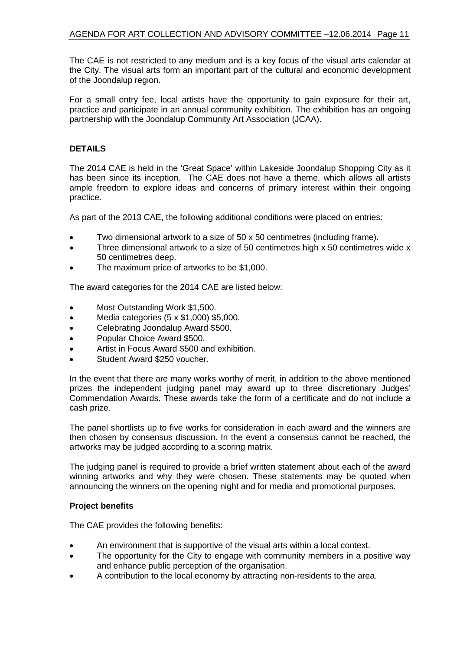The CAE is not restricted to any medium and is a key focus of the visual arts calendar at the City. The visual arts form an important part of the cultural and economic development of the Joondalup region.

For a small entry fee, local artists have the opportunity to gain exposure for their art, practice and participate in an annual community exhibition. The exhibition has an ongoing partnership with the Joondalup Community Art Association (JCAA).

#### **DETAILS**

The 2014 CAE is held in the 'Great Space' within Lakeside Joondalup Shopping City as it has been since its inception. The CAE does not have a theme, which allows all artists ample freedom to explore ideas and concerns of primary interest within their ongoing practice.

As part of the 2013 CAE, the following additional conditions were placed on entries:

- Two dimensional artwork to a size of 50 x 50 centimetres (including frame).
- Three dimensional artwork to a size of 50 centimetres high x 50 centimetres wide x 50 centimetres deep.
- The maximum price of artworks to be \$1,000.

The award categories for the 2014 CAE are listed below:

- Most Outstanding Work \$1,500.
- Media categories (5 x \$1,000) \$5,000.
- Celebrating Joondalup Award \$500.
- Popular Choice Award \$500.
- Artist in Focus Award \$500 and exhibition.
- Student Award \$250 voucher.

In the event that there are many works worthy of merit, in addition to the above mentioned prizes the independent judging panel may award up to three discretionary Judges' Commendation Awards. These awards take the form of a certificate and do not include a cash prize.

The panel shortlists up to five works for consideration in each award and the winners are then chosen by consensus discussion. In the event a consensus cannot be reached, the artworks may be judged according to a scoring matrix.

The judging panel is required to provide a brief written statement about each of the award winning artworks and why they were chosen. These statements may be quoted when announcing the winners on the opening night and for media and promotional purposes.

#### **Project benefits**

The CAE provides the following benefits:

- An environment that is supportive of the visual arts within a local context.
- The opportunity for the City to engage with community members in a positive way and enhance public perception of the organisation.
- A contribution to the local economy by attracting non-residents to the area.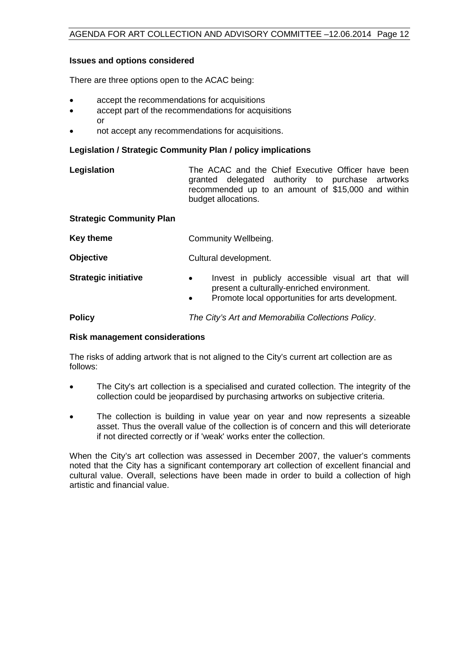#### **Issues and options considered**

There are three options open to the ACAC being:

- accept the recommendations for acquisitions
- accept part of the recommendations for acquisitions or
- not accept any recommendations for acquisitions.

#### **Legislation / Strategic Community Plan / policy implications**

| Legislation | The ACAC and the Chief Executive Officer have been |  |
|-------------|----------------------------------------------------|--|
|             | granted delegated authority to purchase artworks   |  |
|             | recommended up to an amount of \$15,000 and within |  |
|             | budget allocations.                                |  |

#### **Strategic Community Plan**

| Key theme                   | Community Wellbeing.                                                                                                                                                            |
|-----------------------------|---------------------------------------------------------------------------------------------------------------------------------------------------------------------------------|
| <b>Objective</b>            | Cultural development.                                                                                                                                                           |
| <b>Strategic initiative</b> | Invest in publicly accessible visual art that will<br>$\bullet$<br>present a culturally-enriched environment.<br>Promote local opportunities for arts development.<br>$\bullet$ |
| <b>Policy</b>               | The City's Art and Memorabilia Collections Policy.                                                                                                                              |

#### **Risk management considerations**

The risks of adding artwork that is not aligned to the City's current art collection are as follows:

- The City's art collection is a specialised and curated collection. The integrity of the collection could be jeopardised by purchasing artworks on subjective criteria.
- The collection is building in value year on year and now represents a sizeable asset. Thus the overall value of the collection is of concern and this will deteriorate if not directed correctly or if 'weak' works enter the collection.

When the City's art collection was assessed in December 2007, the valuer's comments noted that the City has a significant contemporary art collection of excellent financial and cultural value. Overall, selections have been made in order to build a collection of high artistic and financial value.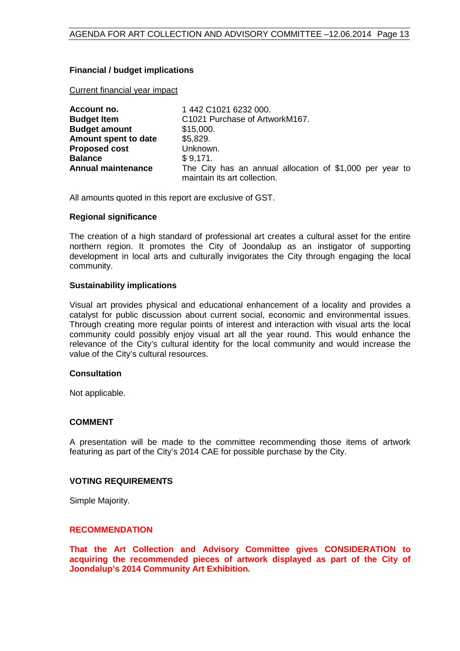#### **Financial / budget implications**

Current financial year impact

| Account no.               | 1 442 C1021 6232 000.                                                                    |
|---------------------------|------------------------------------------------------------------------------------------|
| <b>Budget Item</b>        | C1021 Purchase of ArtworkM167.                                                           |
| <b>Budget amount</b>      | \$15,000.                                                                                |
| Amount spent to date      | \$5,829.                                                                                 |
| <b>Proposed cost</b>      | Unknown.                                                                                 |
| <b>Balance</b>            | \$9,171.                                                                                 |
| <b>Annual maintenance</b> | The City has an annual allocation of \$1,000 per year to<br>maintain its art collection. |

All amounts quoted in this report are exclusive of GST.

#### **Regional significance**

The creation of a high standard of professional art creates a cultural asset for the entire northern region. It promotes the City of Joondalup as an instigator of supporting development in local arts and culturally invigorates the City through engaging the local community.

#### **Sustainability implications**

Visual art provides physical and educational enhancement of a locality and provides a catalyst for public discussion about current social, economic and environmental issues. Through creating more regular points of interest and interaction with visual arts the local community could possibly enjoy visual art all the year round. This would enhance the relevance of the City's cultural identity for the local community and would increase the value of the City's cultural resources.

#### **Consultation**

Not applicable.

#### **COMMENT**

A presentation will be made to the committee recommending those items of artwork featuring as part of the City's 2014 CAE for possible purchase by the City.

#### **VOTING REQUIREMENTS**

Simple Majority.

#### **RECOMMENDATION**

**That the Art Collection and Advisory Committee gives CONSIDERATION to acquiring the recommended pieces of artwork displayed as part of the City of Joondalup's 2014 Community Art Exhibition.**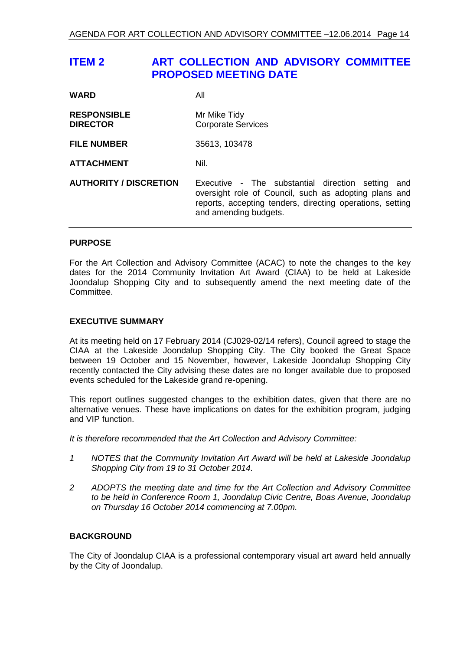## <span id="page-13-0"></span>**ITEM 2 ART COLLECTION AND ADVISORY COMMITTEE PROPOSED MEETING DATE**

| <b>WARD</b>                           | All                                                                                                                                                                                                 |
|---------------------------------------|-----------------------------------------------------------------------------------------------------------------------------------------------------------------------------------------------------|
| <b>RESPONSIBLE</b><br><b>DIRECTOR</b> | Mr Mike Tidy<br><b>Corporate Services</b>                                                                                                                                                           |
| <b>FILE NUMBER</b>                    | 35613, 103478                                                                                                                                                                                       |
| <b>ATTACHMENT</b>                     | Nil.                                                                                                                                                                                                |
| <b>AUTHORITY / DISCRETION</b>         | Executive - The substantial direction setting<br>and<br>oversight role of Council, such as adopting plans and<br>reports, accepting tenders, directing operations, setting<br>and amending budgets. |

#### **PURPOSE**

For the Art Collection and Advisory Committee (ACAC) to note the changes to the key dates for the 2014 Community Invitation Art Award (CIAA) to be held at Lakeside Joondalup Shopping City and to subsequently amend the next meeting date of the Committee.

#### **EXECUTIVE SUMMARY**

At its meeting held on 17 February 2014 (CJ029-02/14 refers), Council agreed to stage the CIAA at the Lakeside Joondalup Shopping City. The City booked the Great Space between 19 October and 15 November, however, Lakeside Joondalup Shopping City recently contacted the City advising these dates are no longer available due to proposed events scheduled for the Lakeside grand re-opening.

This report outlines suggested changes to the exhibition dates, given that there are no alternative venues. These have implications on dates for the exhibition program, judging and VIP function.

*It is therefore recommended that the Art Collection and Advisory Committee:*

- *1 NOTES that the Community Invitation Art Award will be held at Lakeside Joondalup Shopping City from 19 to 31 October 2014.*
- *2 ADOPTS the meeting date and time for the Art Collection and Advisory Committee to be held in Conference Room 1, Joondalup Civic Centre, Boas Avenue, Joondalup on Thursday 16 October 2014 commencing at 7.00pm.*

#### **BACKGROUND**

The City of Joondalup CIAA is a professional contemporary visual art award held annually by the City of Joondalup.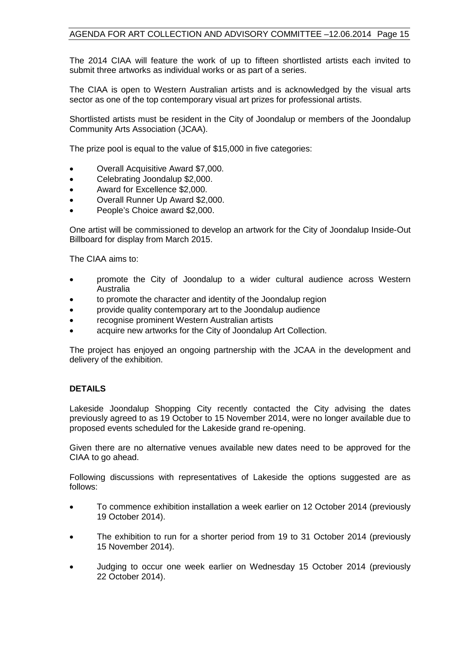The 2014 CIAA will feature the work of up to fifteen shortlisted artists each invited to submit three artworks as individual works or as part of a series.

The CIAA is open to Western Australian artists and is acknowledged by the visual arts sector as one of the top contemporary visual art prizes for professional artists.

Shortlisted artists must be resident in the City of Joondalup or members of the Joondalup Community Arts Association (JCAA).

The prize pool is equal to the value of \$15,000 in five categories:

- Overall Acquisitive Award \$7,000.
- Celebrating Joondalup \$2,000.
- Award for Excellence \$2,000.
- Overall Runner Up Award \$2,000.
- People's Choice award \$2,000.

One artist will be commissioned to develop an artwork for the City of Joondalup Inside-Out Billboard for display from March 2015.

The CIAA aims to:

- promote the City of Joondalup to a wider cultural audience across Western Australia
- to promote the character and identity of the Joondalup region
- provide quality contemporary art to the Joondalup audience
- recognise prominent Western Australian artists
- acquire new artworks for the City of Joondalup Art Collection.

The project has enjoyed an ongoing partnership with the JCAA in the development and delivery of the exhibition.

#### **DETAILS**

Lakeside Joondalup Shopping City recently contacted the City advising the dates previously agreed to as 19 October to 15 November 2014, were no longer available due to proposed events scheduled for the Lakeside grand re-opening.

Given there are no alternative venues available new dates need to be approved for the CIAA to go ahead.

Following discussions with representatives of Lakeside the options suggested are as follows:

- To commence exhibition installation a week earlier on 12 October 2014 (previously 19 October 2014).
- The exhibition to run for a shorter period from 19 to 31 October 2014 (previously 15 November 2014).
- Judging to occur one week earlier on Wednesday 15 October 2014 (previously 22 October 2014).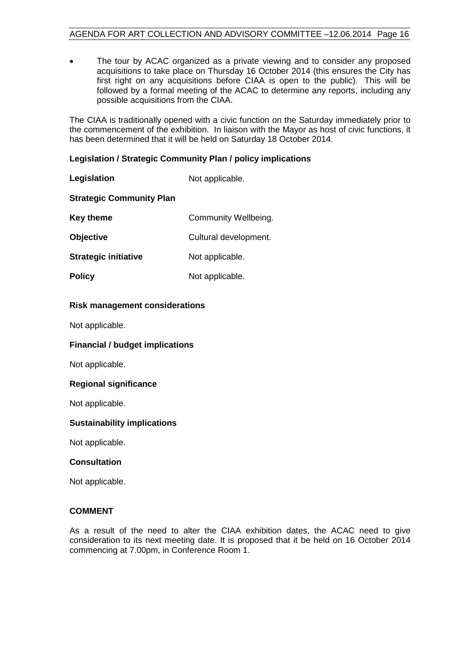• The tour by ACAC organized as a private viewing and to consider any proposed acquisitions to take place on Thursday 16 October 2014 (this ensures the City has first right on any acquisitions before CIAA is open to the public). This will be followed by a formal meeting of the ACAC to determine any reports, including any possible acquisitions from the CIAA.

The CIAA is traditionally opened with a civic function on the Saturday immediately prior to the commencement of the exhibition. In liaison with the Mayor as host of civic functions, it has been determined that it will be held on Saturday 18 October 2014.

#### **Legislation / Strategic Community Plan / policy implications**

| Legislation                     | Not applicable.       |
|---------------------------------|-----------------------|
| <b>Strategic Community Plan</b> |                       |
| <b>Key theme</b>                | Community Wellbeing.  |
| <b>Objective</b>                | Cultural development. |
| <b>Strategic initiative</b>     | Not applicable.       |
| <b>Policy</b>                   | Not applicable.       |

#### **Risk management considerations**

Not applicable.

#### **Financial / budget implications**

Not applicable.

#### **Regional significance**

Not applicable.

#### **Sustainability implications**

Not applicable.

#### **Consultation**

Not applicable.

#### **COMMENT**

As a result of the need to alter the CIAA exhibition dates, the ACAC need to give consideration to its next meeting date. It is proposed that it be held on 16 October 2014 commencing at 7.00pm, in Conference Room 1.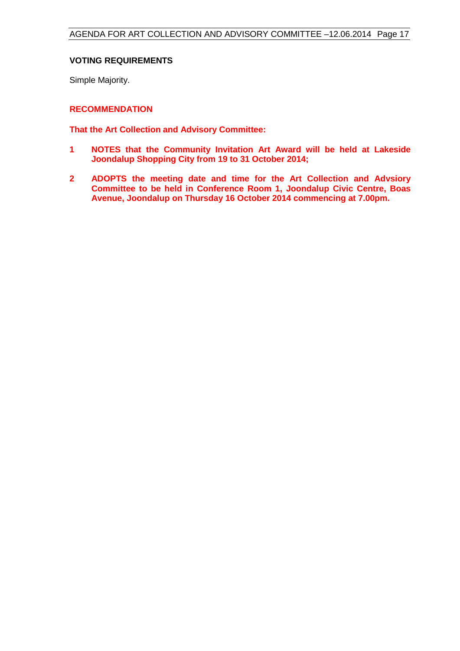#### **VOTING REQUIREMENTS**

Simple Majority.

#### **RECOMMENDATION**

**That the Art Collection and Advisory Committee:**

- **1 NOTES that the Community Invitation Art Award will be held at Lakeside Joondalup Shopping City from 19 to 31 October 2014;**
- **2 ADOPTS the meeting date and time for the Art Collection and Advsiory Committee to be held in Conference Room 1, Joondalup Civic Centre, Boas Avenue, Joondalup on Thursday 16 October 2014 commencing at 7.00pm.**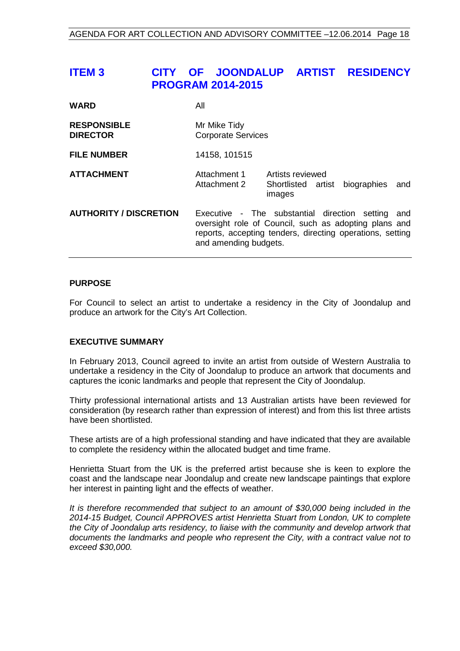## <span id="page-17-0"></span>**ITEM 3 CITY OF JOONDALUP ARTIST RESIDENCY PROGRAM 2014-2015**

| <b>WARD</b>                           | All                                                                                                                                                                                              |
|---------------------------------------|--------------------------------------------------------------------------------------------------------------------------------------------------------------------------------------------------|
| <b>RESPONSIBLE</b><br><b>DIRECTOR</b> | Mr Mike Tidy<br><b>Corporate Services</b>                                                                                                                                                        |
| <b>FILE NUMBER</b>                    | 14158, 101515                                                                                                                                                                                    |
| <b>ATTACHMENT</b>                     | Attachment 1<br>Artists reviewed<br>Shortlisted artist biographies<br>Attachment 2<br>and<br>images                                                                                              |
| <b>AUTHORITY / DISCRETION</b>         | Executive - The substantial direction setting and<br>oversight role of Council, such as adopting plans and<br>reports, accepting tenders, directing operations, setting<br>and amending budgets. |

#### **PURPOSE**

For Council to select an artist to undertake a residency in the City of Joondalup and produce an artwork for the City's Art Collection.

#### **EXECUTIVE SUMMARY**

In February 2013, Council agreed to invite an artist from outside of Western Australia to undertake a residency in the City of Joondalup to produce an artwork that documents and captures the iconic landmarks and people that represent the City of Joondalup.

Thirty professional international artists and 13 Australian artists have been reviewed for consideration (by research rather than expression of interest) and from this list three artists have been shortlisted.

These artists are of a high professional standing and have indicated that they are available to complete the residency within the allocated budget and time frame.

Henrietta Stuart from the UK is the preferred artist because she is keen to explore the coast and the landscape near Joondalup and create new landscape paintings that explore her interest in painting light and the effects of weather.

*It is therefore recommended that subject to an amount of \$30,000 being included in the 2014-15 Budget, Council APPROVES artist Henrietta Stuart from London, UK to complete the City of Joondalup arts residency, to liaise with the community and develop artwork that documents the landmarks and people who represent the City, with a contract value not to exceed \$30,000.*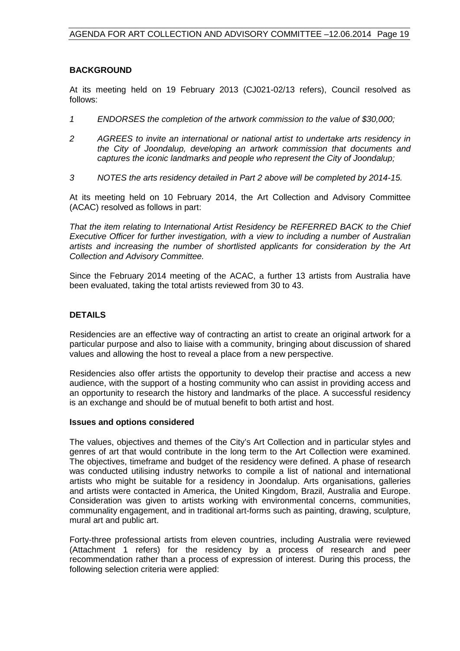#### **BACKGROUND**

At its meeting held on 19 February 2013 (CJ021-02/13 refers), Council resolved as follows:

- *1 ENDORSES the completion of the artwork commission to the value of \$30,000;*
- *2 AGREES to invite an international or national artist to undertake arts residency in the City of Joondalup, developing an artwork commission that documents and captures the iconic landmarks and people who represent the City of Joondalup;*
- *3 NOTES the arts residency detailed in Part 2 above will be completed by 2014-15.*

At its meeting held on 10 February 2014, the Art Collection and Advisory Committee (ACAC) resolved as follows in part:

*That the item relating to International Artist Residency be REFERRED BACK to the Chief Executive Officer for further investigation, with a view to including a number of Australian artists and increasing the number of shortlisted applicants for consideration by the Art Collection and Advisory Committee.*

Since the February 2014 meeting of the ACAC, a further 13 artists from Australia have been evaluated, taking the total artists reviewed from 30 to 43.

#### **DETAILS**

Residencies are an effective way of contracting an artist to create an original artwork for a particular purpose and also to liaise with a community, bringing about discussion of shared values and allowing the host to reveal a place from a new perspective.

Residencies also offer artists the opportunity to develop their practise and access a new audience, with the support of a hosting community who can assist in providing access and an opportunity to research the history and landmarks of the place. A successful residency is an exchange and should be of mutual benefit to both artist and host.

#### **Issues and options considered**

The values, objectives and themes of the City's Art Collection and in particular styles and genres of art that would contribute in the long term to the Art Collection were examined. The objectives, timeframe and budget of the residency were defined. A phase of research was conducted utilising industry networks to compile a list of national and international artists who might be suitable for a residency in Joondalup. Arts organisations, galleries and artists were contacted in America, the United Kingdom, Brazil, Australia and Europe. Consideration was given to artists working with environmental concerns, communities, communality engagement, and in traditional art-forms such as painting, drawing, sculpture, mural art and public art.

Forty-three professional artists from eleven countries, including Australia were reviewed (Attachment 1 refers) for the residency by a process of research and peer recommendation rather than a process of expression of interest. During this process, the following selection criteria were applied: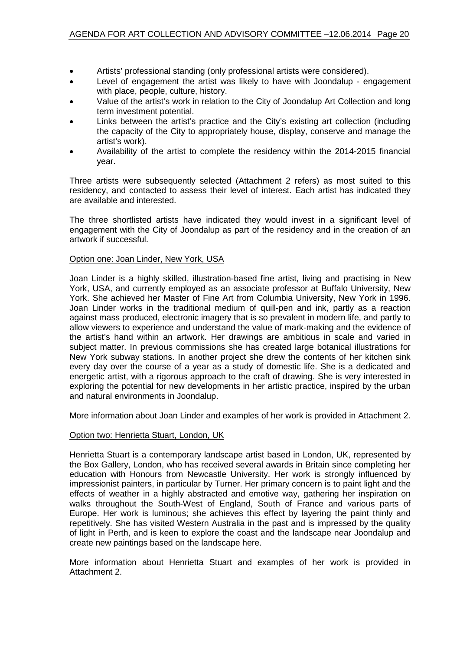- Artists' professional standing (only professional artists were considered).
- Level of engagement the artist was likely to have with Joondalup engagement with place, people, culture, history.
- Value of the artist's work in relation to the City of Joondalup Art Collection and long term investment potential.
- Links between the artist's practice and the City's existing art collection (including the capacity of the City to appropriately house, display, conserve and manage the artist's work).
- Availability of the artist to complete the residency within the 2014-2015 financial year.

Three artists were subsequently selected (Attachment 2 refers) as most suited to this residency, and contacted to assess their level of interest. Each artist has indicated they are available and interested.

The three shortlisted artists have indicated they would invest in a significant level of engagement with the City of Joondalup as part of the residency and in the creation of an artwork if successful.

#### Option one: Joan Linder, New York, USA

Joan Linder is a highly skilled, illustration-based fine artist, living and practising in New York, USA, and currently employed as an associate professor at Buffalo University, New York. She achieved her Master of Fine Art from Columbia University, New York in 1996. Joan Linder works in the traditional medium of quill-pen and ink, partly as a reaction against mass produced, electronic imagery that is so prevalent in modern life, and partly to allow viewers to experience and understand the value of mark-making and the evidence of the artist's hand within an artwork. Her drawings are ambitious in scale and varied in subject matter. In previous commissions she has created large botanical illustrations for New York subway stations. In another project she drew the contents of her kitchen sink every day over the course of a year as a study of domestic life. She is a dedicated and energetic artist, with a rigorous approach to the craft of drawing. She is very interested in exploring the potential for new developments in her artistic practice, inspired by the urban and natural environments in Joondalup.

More information about Joan Linder and examples of her work is provided in Attachment 2.

#### Option two: Henrietta Stuart, London, UK

Henrietta Stuart is a contemporary landscape artist based in London, UK, represented by the Box Gallery, London, who has received several awards in Britain since completing her education with Honours from Newcastle University. Her work is strongly influenced by impressionist painters, in particular by Turner. Her primary concern is to paint light and the effects of weather in a highly abstracted and emotive way, gathering her inspiration on walks throughout the South-West of England, South of France and various parts of Europe. Her work is luminous; she achieves this effect by layering the paint thinly and repetitively. She has visited Western Australia in the past and is impressed by the quality of light in Perth, and is keen to explore the coast and the landscape near Joondalup and create new paintings based on the landscape here.

More information about Henrietta Stuart and examples of her work is provided in Attachment 2.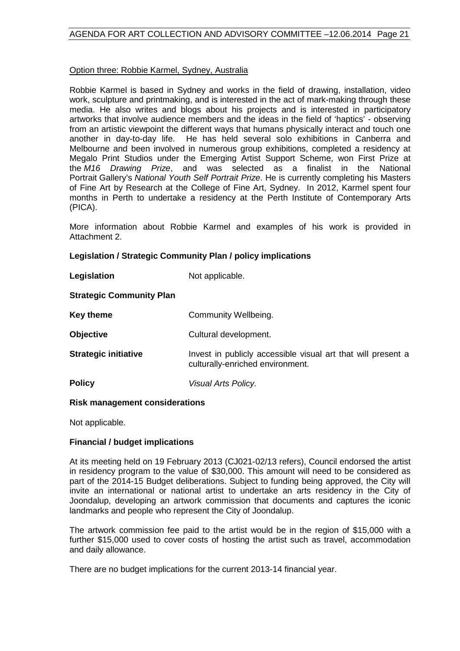#### Option three: Robbie Karmel, Sydney, Australia

Robbie Karmel is based in Sydney and works in the field of drawing, installation, video work, sculpture and printmaking, and is interested in the act of mark-making through these media. He also writes and blogs about his projects and is interested in participatory artworks that involve audience members and the ideas in the field of 'haptics' - observing from an artistic viewpoint the different ways that humans physically interact and touch one another in day-to-day life. He has held several solo exhibitions in Canberra and Melbourne and been involved in numerous group exhibitions, completed a residency at Megalo Print Studios under the Emerging Artist Support Scheme, won First Prize at the *M16 Drawing Prize*, and was selected as a finalist in the National Portrait Gallery's *National Youth Self Portrait Prize*. He is currently completing his Masters of Fine Art by Research at the College of Fine Art, Sydney. In 2012, Karmel spent four months in Perth to undertake a residency at the Perth Institute of Contemporary Arts (PICA).

More information about Robbie Karmel and examples of his work is provided in Attachment 2.

#### **Legislation / Strategic Community Plan / policy implications**

| Legislation | Not applicable. |
|-------------|-----------------|
|-------------|-----------------|

#### **Strategic Community Plan**

| Key theme                   | Community Wellbeing.                                                                             |
|-----------------------------|--------------------------------------------------------------------------------------------------|
| <b>Objective</b>            | Cultural development.                                                                            |
| <b>Strategic initiative</b> | Invest in publicly accessible visual art that will present a<br>culturally-enriched environment. |
| <b>Policy</b>               | Visual Arts Policy.                                                                              |

#### **Risk management considerations**

Not applicable.

#### **Financial / budget implications**

At its meeting held on 19 February 2013 (CJ021-02/13 refers), Council endorsed the artist in residency program to the value of \$30,000. This amount will need to be considered as part of the 2014-15 Budget deliberations. Subject to funding being approved, the City will invite an international or national artist to undertake an arts residency in the City of Joondalup, developing an artwork commission that documents and captures the iconic landmarks and people who represent the City of Joondalup.

The artwork commission fee paid to the artist would be in the region of \$15,000 with a further \$15,000 used to cover costs of hosting the artist such as travel, accommodation and daily allowance.

There are no budget implications for the current 2013-14 financial year.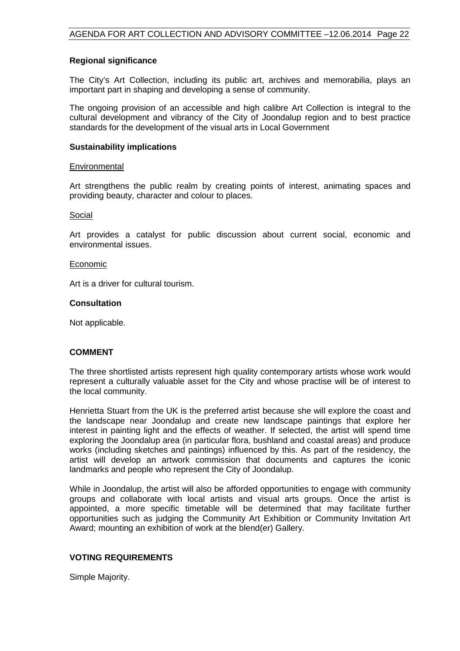#### **Regional significance**

The City's Art Collection, including its public art, archives and memorabilia, plays an important part in shaping and developing a sense of community.

The ongoing provision of an accessible and high calibre Art Collection is integral to the cultural development and vibrancy of the City of Joondalup region and to best practice standards for the development of the visual arts in Local Government

#### **Sustainability implications**

#### **Environmental**

Art strengthens the public realm by creating points of interest, animating spaces and providing beauty, character and colour to places.

#### Social

Art provides a catalyst for public discussion about current social, economic and environmental issues.

#### Economic

Art is a driver for cultural tourism.

#### **Consultation**

Not applicable.

#### **COMMENT**

The three shortlisted artists represent high quality contemporary artists whose work would represent a culturally valuable asset for the City and whose practise will be of interest to the local community.

Henrietta Stuart from the UK is the preferred artist because she will explore the coast and the landscape near Joondalup and create new landscape paintings that explore her interest in painting light and the effects of weather. If selected, the artist will spend time exploring the Joondalup area (in particular flora, bushland and coastal areas) and produce works (including sketches and paintings) influenced by this. As part of the residency, the artist will develop an artwork commission that documents and captures the iconic landmarks and people who represent the City of Joondalup.

While in Joondalup, the artist will also be afforded opportunities to engage with community groups and collaborate with local artists and visual arts groups. Once the artist is appointed, a more specific timetable will be determined that may facilitate further opportunities such as judging the Community Art Exhibition or Community Invitation Art Award; mounting an exhibition of work at the blend(er) Gallery.

#### **VOTING REQUIREMENTS**

Simple Majority.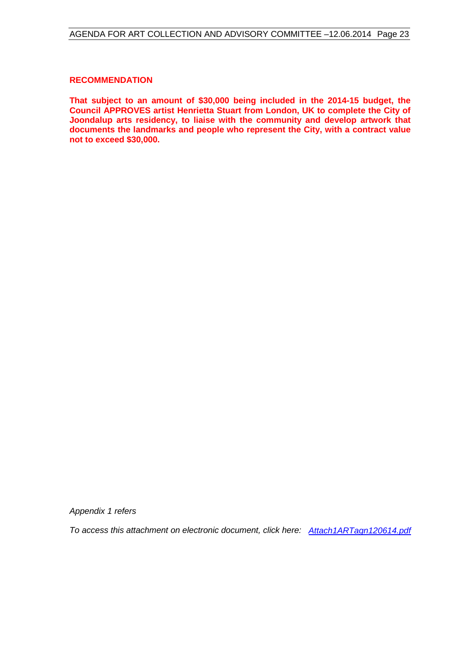#### **RECOMMENDATION**

**That subject to an amount of \$30,000 being included in the 2014-15 budget, the Council APPROVES artist Henrietta Stuart from London, UK to complete the City of Joondalup arts residency, to liaise with the community and develop artwork that documents the landmarks and people who represent the City, with a contract value not to exceed \$30,000.**

*Appendix 1 refers*

*[To access this attachment on electronic document, click here: Attach1ARTagn120614.pdf](http://www.joondalup.wa.gov.au/files/committees/ACAC/2014/Attach1ARTagn120614.pdf)*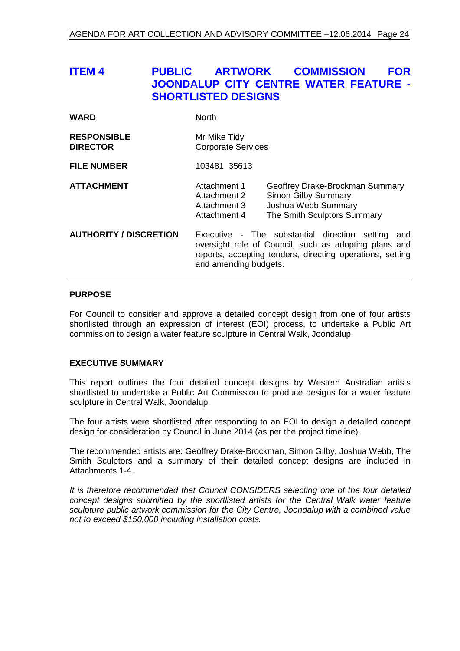## <span id="page-23-0"></span>**ITEM 4 PUBLIC ARTWORK COMMISSION FOR JOONDALUP CITY CENTRE WATER FEATURE - SHORTLISTED DESIGNS**

| <b>WARD</b>                           | <b>North</b>                                                                                                                                                                                        |  |
|---------------------------------------|-----------------------------------------------------------------------------------------------------------------------------------------------------------------------------------------------------|--|
| <b>RESPONSIBLE</b><br><b>DIRECTOR</b> | Mr Mike Tidy<br><b>Corporate Services</b>                                                                                                                                                           |  |
| <b>FILE NUMBER</b>                    | 103481, 35613                                                                                                                                                                                       |  |
| <b>ATTACHMENT</b>                     | Attachment 1<br>Geoffrey Drake-Brockman Summary<br><b>Simon Gilby Summary</b><br>Attachment 2<br>Joshua Webb Summary<br>Attachment 3<br>The Smith Sculptors Summary<br>Attachment 4                 |  |
| <b>AUTHORITY / DISCRETION</b>         | Executive - The substantial direction setting<br>and<br>oversight role of Council, such as adopting plans and<br>reports, accepting tenders, directing operations, setting<br>and amending budgets. |  |

#### **PURPOSE**

For Council to consider and approve a detailed concept design from one of four artists shortlisted through an expression of interest (EOI) process, to undertake a Public Art commission to design a water feature sculpture in Central Walk, Joondalup.

#### **EXECUTIVE SUMMARY**

This report outlines the four detailed concept designs by Western Australian artists shortlisted to undertake a Public Art Commission to produce designs for a water feature sculpture in Central Walk, Joondalup.

The four artists were shortlisted after responding to an EOI to design a detailed concept design for consideration by Council in June 2014 (as per the project timeline).

The recommended artists are: Geoffrey Drake-Brockman, Simon Gilby, Joshua Webb, The Smith Sculptors and a summary of their detailed concept designs are included in Attachments 1-4.

*It is therefore recommended that Council CONSIDERS selecting one of the four detailed concept designs submitted by the shortlisted artists for the Central Walk water feature sculpture public artwork commission for the City Centre, Joondalup with a combined value not to exceed \$150,000 including installation costs.*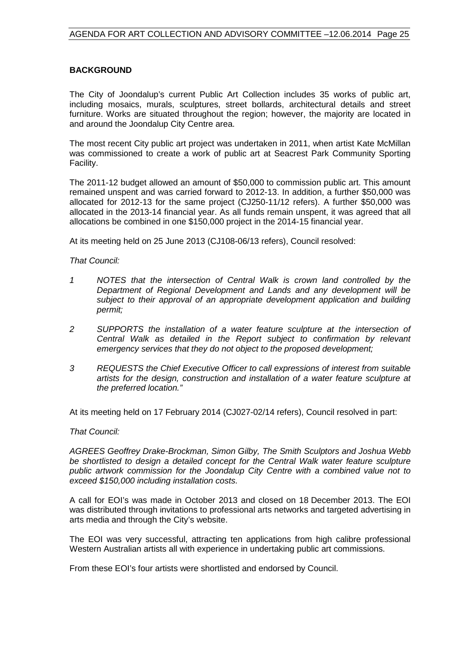#### **BACKGROUND**

The City of Joondalup's current Public Art Collection includes 35 works of public art, including mosaics, murals, sculptures, street bollards, architectural details and street furniture. Works are situated throughout the region; however, the majority are located in and around the Joondalup City Centre area.

The most recent City public art project was undertaken in 2011, when artist Kate McMillan was commissioned to create a work of public art at Seacrest Park Community Sporting Facility.

The 2011-12 budget allowed an amount of \$50,000 to commission public art. This amount remained unspent and was carried forward to 2012-13. In addition, a further \$50,000 was allocated for 2012-13 for the same project (CJ250-11/12 refers). A further \$50,000 was allocated in the 2013-14 financial year. As all funds remain unspent, it was agreed that all allocations be combined in one \$150,000 project in the 2014-15 financial year.

At its meeting held on 25 June 2013 (CJ108-06/13 refers), Council resolved:

#### *That Council:*

- *1 NOTES that the intersection of Central Walk is crown land controlled by the Department of Regional Development and Lands and any development will be subject to their approval of an appropriate development application and building permit;*
- *2 SUPPORTS the installation of a water feature sculpture at the intersection of Central Walk as detailed in the Report subject to confirmation by relevant emergency services that they do not object to the proposed development;*
- *3 REQUESTS the Chief Executive Officer to call expressions of interest from suitable artists for the design, construction and installation of a water feature sculpture at the preferred location."*

At its meeting held on 17 February 2014 (CJ027-02/14 refers), Council resolved in part:

#### *That Council:*

*AGREES Geoffrey Drake-Brockman, Simon Gilby, The Smith Sculptors and Joshua Webb be shortlisted to design a detailed concept for the Central Walk water feature sculpture public artwork commission for the Joondalup City Centre with a combined value not to exceed \$150,000 including installation costs.*

A call for EOI's was made in October 2013 and closed on 18 December 2013. The EOI was distributed through invitations to professional arts networks and targeted advertising in arts media and through the City's website.

The EOI was very successful, attracting ten applications from high calibre professional Western Australian artists all with experience in undertaking public art commissions.

From these EOI's four artists were shortlisted and endorsed by Council.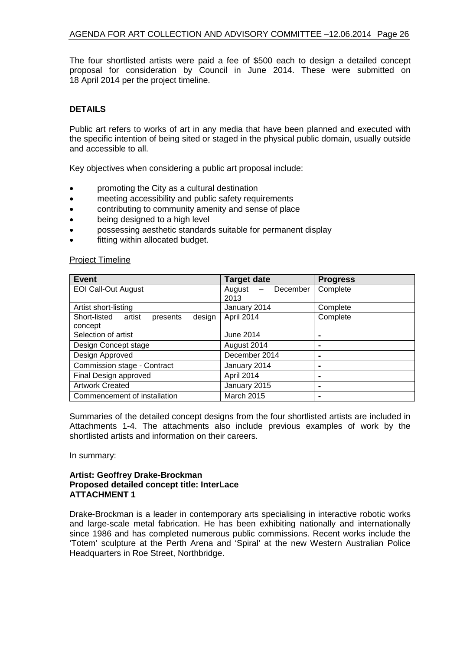The four shortlisted artists were paid a fee of \$500 each to design a detailed concept proposal for consideration by Council in June 2014. These were submitted on 18 April 2014 per the project timeline.

### **DETAILS**

Public art refers to works of art in any media that have been planned and executed with the specific intention of being sited or staged in the physical public domain, usually outside and accessible to all.

Key objectives when considering a public art proposal include:

- promoting the City as a cultural destination
- meeting accessibility and public safety requirements
- contributing to community amenity and sense of place
- being designed to a high level
- possessing aesthetic standards suitable for permanent display
- fitting within allocated budget.

#### Project Timeline

| <b>Event</b>                              | <b>Target date</b> | <b>Progress</b> |
|-------------------------------------------|--------------------|-----------------|
| <b>EOI Call-Out August</b>                | August<br>December | Complete        |
|                                           | 2013               |                 |
| Artist short-listing                      | January 2014       | Complete        |
| Short-listed artist<br>presents<br>design | April 2014         | Complete        |
| concept                                   |                    |                 |
| Selection of artist                       | June 2014          |                 |
| Design Concept stage                      | August 2014        |                 |
| Design Approved                           | December 2014      | -               |
| Commission stage - Contract               | January 2014       |                 |
| Final Design approved                     | April 2014         |                 |
| <b>Artwork Created</b>                    | January 2015       | -               |
| Commencement of installation              | <b>March 2015</b>  |                 |

Summaries of the detailed concept designs from the four shortlisted artists are included in Attachments 1-4. The attachments also include previous examples of work by the shortlisted artists and information on their careers.

In summary:

#### **Artist: Geoffrey Drake-Brockman Proposed detailed concept title: InterLace ATTACHMENT 1**

Drake-Brockman is a leader in contemporary arts specialising in interactive robotic works and large-scale metal fabrication. He has been exhibiting nationally and internationally since 1986 and has completed numerous public commissions. Recent works include the 'Totem' sculpture at the Perth Arena and 'Spiral' at the new Western Australian Police Headquarters in Roe Street, Northbridge.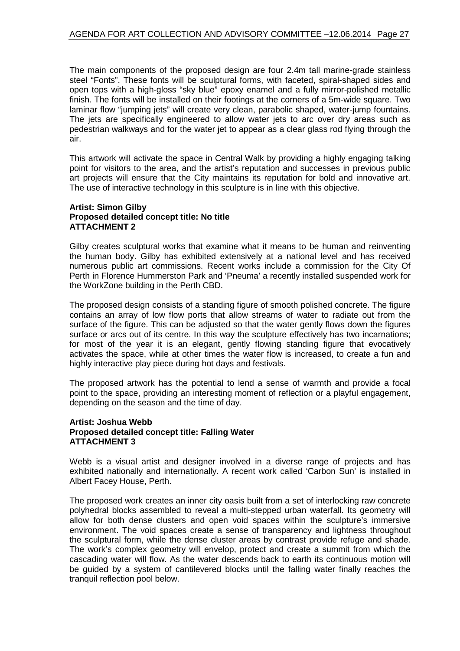The main components of the proposed design are four 2.4m tall marine-grade stainless steel "Fonts". These fonts will be sculptural forms, with faceted, spiral-shaped sides and open tops with a high-gloss "sky blue" epoxy enamel and a fully mirror-polished metallic finish. The fonts will be installed on their footings at the corners of a 5m-wide square. Two laminar flow "jumping jets" will create very clean, parabolic shaped, water-jump fountains. The jets are specifically engineered to allow water jets to arc over dry areas such as pedestrian walkways and for the water jet to appear as a clear glass rod flying through the air.

This artwork will activate the space in Central Walk by providing a highly engaging talking point for visitors to the area, and the artist's reputation and successes in previous public art projects will ensure that the City maintains its reputation for bold and innovative art. The use of interactive technology in this sculpture is in line with this objective.

#### **Artist: Simon Gilby Proposed detailed concept title: No title ATTACHMENT 2**

Gilby creates sculptural works that examine what it means to be human and reinventing the human body. Gilby has exhibited extensively at a national level and has received numerous public art commissions. Recent works include a commission for the City Of Perth in Florence Hummerston Park and 'Pneuma' a recently installed suspended work for the WorkZone building in the Perth CBD.

The proposed design consists of a standing figure of smooth polished concrete. The figure contains an array of low flow ports that allow streams of water to radiate out from the surface of the figure. This can be adjusted so that the water gently flows down the figures surface or arcs out of its centre. In this way the sculpture effectively has two incarnations; for most of the year it is an elegant, gently flowing standing figure that evocatively activates the space, while at other times the water flow is increased, to create a fun and highly interactive play piece during hot days and festivals.

The proposed artwork has the potential to lend a sense of warmth and provide a focal point to the space, providing an interesting moment of reflection or a playful engagement, depending on the season and the time of day.

#### **Artist: Joshua Webb Proposed detailed concept title: Falling Water ATTACHMENT 3**

Webb is a visual artist and designer involved in a diverse range of projects and has exhibited nationally and internationally. A recent work called 'Carbon Sun' is installed in Albert Facey House, Perth.

The proposed work creates an inner city oasis built from a set of interlocking raw concrete polyhedral blocks assembled to reveal a multi-stepped urban waterfall. Its geometry will allow for both dense clusters and open void spaces within the sculpture's immersive environment. The void spaces create a sense of transparency and lightness throughout the sculptural form, while the dense cluster areas by contrast provide refuge and shade. The work's complex geometry will envelop, protect and create a summit from which the cascading water will flow. As the water descends back to earth its continuous motion will be guided by a system of cantilevered blocks until the falling water finally reaches the tranquil reflection pool below.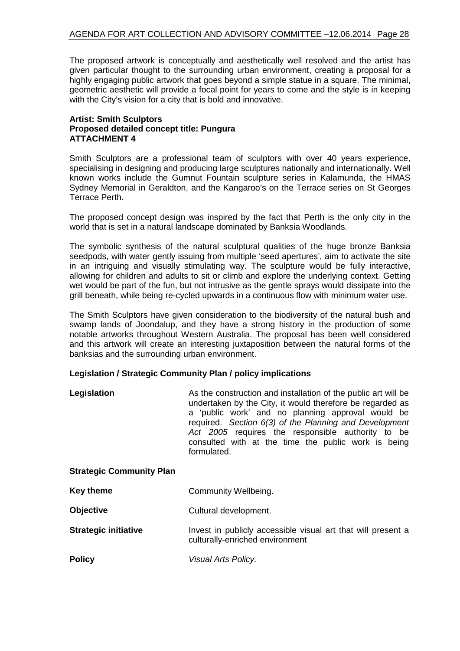The proposed artwork is conceptually and aesthetically well resolved and the artist has given particular thought to the surrounding urban environment, creating a proposal for a highly engaging public artwork that goes beyond a simple statue in a square. The minimal, geometric aesthetic will provide a focal point for years to come and the style is in keeping with the City's vision for a city that is bold and innovative.

#### **Artist: Smith Sculptors Proposed detailed concept title: Pungura ATTACHMENT 4**

Smith Sculptors are a professional team of sculptors with over 40 years experience, specialising in designing and producing large sculptures nationally and internationally. Well known works include the Gumnut Fountain sculpture series in Kalamunda, the HMAS Sydney Memorial in Geraldton, and the Kangaroo's on the Terrace series on St Georges Terrace Perth.

The proposed concept design was inspired by the fact that Perth is the only city in the world that is set in a natural landscape dominated by Banksia Woodlands.

The symbolic synthesis of the natural sculptural qualities of the huge bronze Banksia seedpods, with water gently issuing from multiple 'seed apertures', aim to activate the site in an intriguing and visually stimulating way. The sculpture would be fully interactive, allowing for children and adults to sit or climb and explore the underlying context. Getting wet would be part of the fun, but not intrusive as the gentle sprays would dissipate into the grill beneath, while being re-cycled upwards in a continuous flow with minimum water use.

The Smith Sculptors have given consideration to the biodiversity of the natural bush and swamp lands of Joondalup, and they have a strong history in the production of some notable artworks throughout Western Australia. The proposal has been well considered and this artwork will create an interesting juxtaposition between the natural forms of the banksias and the surrounding urban environment.

#### **Legislation / Strategic Community Plan / policy implications**

| Legislation | As the construction and installation of the public art will be<br>undertaken by the City, it would therefore be regarded as<br>a 'public work' and no planning approval would be<br>required. Section 6(3) of the Planning and Development<br>Act 2005 requires the responsible authority to be<br>consulted with at the time the public work is being |
|-------------|--------------------------------------------------------------------------------------------------------------------------------------------------------------------------------------------------------------------------------------------------------------------------------------------------------------------------------------------------------|
|             | formulated.                                                                                                                                                                                                                                                                                                                                            |

#### **Strategic Community Plan**

| Key theme | Community Wellbeing. |
|-----------|----------------------|
|-----------|----------------------|

| <b>Objective</b> | Cultural development. |
|------------------|-----------------------|
|------------------|-----------------------|

#### **Strategic initiative** Invest in publicly accessible visual art that will present a culturally-enriched environment

**Policy** *Visual Arts Policy.*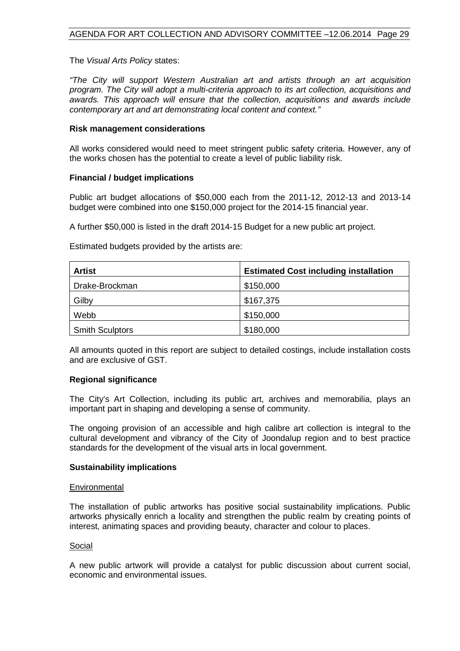The *Visual Arts Policy* states:

*"The City will support Western Australian art and artists through an art acquisition program. The City will adopt a multi-criteria approach to its art collection, acquisitions and awards. This approach will ensure that the collection, acquisitions and awards include contemporary art and art demonstrating local content and context."*

#### **Risk management considerations**

All works considered would need to meet stringent public safety criteria. However, any of the works chosen has the potential to create a level of public liability risk.

#### **Financial / budget implications**

Public art budget allocations of \$50,000 each from the 2011-12, 2012-13 and 2013-14 budget were combined into one \$150,000 project for the 2014-15 financial year.

A further \$50,000 is listed in the draft 2014-15 Budget for a new public art project.

Estimated budgets provided by the artists are:

| Artist                 | <b>Estimated Cost including installation</b> |
|------------------------|----------------------------------------------|
| Drake-Brockman         | \$150,000                                    |
| Gilby                  | \$167,375                                    |
| Webb                   | \$150,000                                    |
| <b>Smith Sculptors</b> | \$180,000                                    |

All amounts quoted in this report are subject to detailed costings, include installation costs and are exclusive of GST.

#### **Regional significance**

The City's Art Collection, including its public art, archives and memorabilia, plays an important part in shaping and developing a sense of community.

The ongoing provision of an accessible and high calibre art collection is integral to the cultural development and vibrancy of the City of Joondalup region and to best practice standards for the development of the visual arts in local government.

#### **Sustainability implications**

#### **Environmental**

The installation of public artworks has positive social sustainability implications. Public artworks physically enrich a locality and strengthen the public realm by creating points of interest, animating spaces and providing beauty, character and colour to places.

#### Social

A new public artwork will provide a catalyst for public discussion about current social, economic and environmental issues.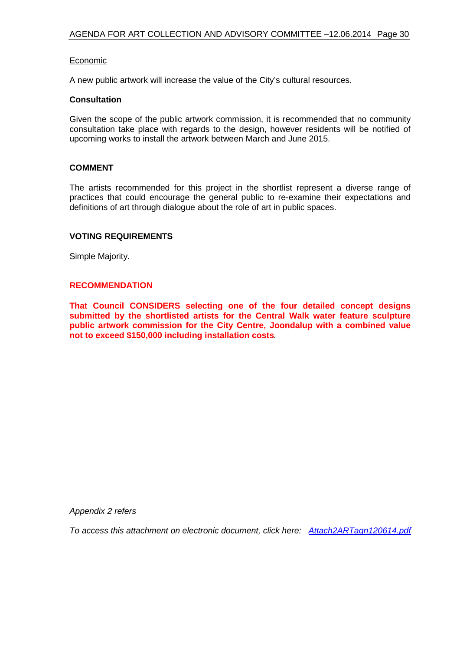#### **Economic**

A new public artwork will increase the value of the City's cultural resources.

#### **Consultation**

Given the scope of the public artwork commission, it is recommended that no community consultation take place with regards to the design, however residents will be notified of upcoming works to install the artwork between March and June 2015.

#### **COMMENT**

The artists recommended for this project in the shortlist represent a diverse range of practices that could encourage the general public to re-examine their expectations and definitions of art through dialogue about the role of art in public spaces.

#### **VOTING REQUIREMENTS**

Simple Majority.

#### **RECOMMENDATION**

**That Council CONSIDERS selecting one of the four detailed concept designs submitted by the shortlisted artists for the Central Walk water feature sculpture public artwork commission for the City Centre, Joondalup with a combined value not to exceed \$150,000 including installation costs***.*

*Appendix 2 refers*

*[To access this attachment on electronic document, click here: Attach2ARTagn120614.pdf](http://www.joondalup.wa.gov.au/files/committees/ACAC/2014/Attach2ARTagn120614.pdf)*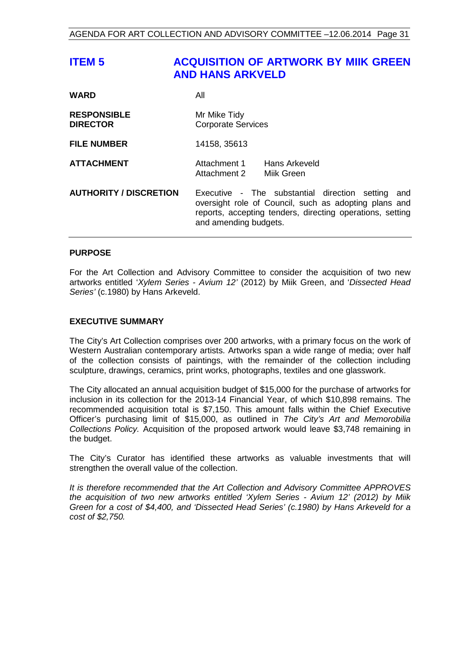## <span id="page-30-0"></span>**ITEM 5 ACQUISITION OF ARTWORK BY MIIK GREEN AND HANS ARKVELD**

| <b>WARD</b>                           | All                                                                                                                                                                                                 |
|---------------------------------------|-----------------------------------------------------------------------------------------------------------------------------------------------------------------------------------------------------|
| <b>RESPONSIBLE</b><br><b>DIRECTOR</b> | Mr Mike Tidy<br><b>Corporate Services</b>                                                                                                                                                           |
| <b>FILE NUMBER</b>                    | 14158, 35613                                                                                                                                                                                        |
| <b>ATTACHMENT</b>                     | Hans Arkeveld<br>Attachment 1<br>Attachment 2 Mijk Green                                                                                                                                            |
| <b>AUTHORITY / DISCRETION</b>         | Executive - The substantial direction setting<br>and<br>oversight role of Council, such as adopting plans and<br>reports, accepting tenders, directing operations, setting<br>and amending budgets. |

#### **PURPOSE**

For the Art Collection and Advisory Committee to consider the acquisition of two new artworks entitled '*Xylem Series - Avium 12'* (2012) by Miik Green, and '*Dissected Head Series'* (c.1980) by Hans Arkeveld.

#### **EXECUTIVE SUMMARY**

The City's Art Collection comprises over 200 artworks, with a primary focus on the work of Western Australian contemporary artists. Artworks span a wide range of media; over half of the collection consists of paintings, with the remainder of the collection including sculpture, drawings, ceramics, print works, photographs, textiles and one glasswork.

The City allocated an annual acquisition budget of \$15,000 for the purchase of artworks for inclusion in its collection for the 2013-14 Financial Year, of which \$10,898 remains. The recommended acquisition total is \$7,150. This amount falls within the Chief Executive Officer's purchasing limit of \$15,000, as outlined in *The City's Art and Memorobilia Collections Policy.* Acquisition of the proposed artwork would leave \$3,748 remaining in the budget.

The City's Curator has identified these artworks as valuable investments that will strengthen the overall value of the collection.

*It is therefore recommended that the Art Collection and Advisory Committee APPROVES the acquisition of two new artworks entitled 'Xylem Series - Avium 12' (2012) by Miik Green for a cost of \$4,400, and 'Dissected Head Series' (c.1980) by Hans Arkeveld for a cost of \$2,750.*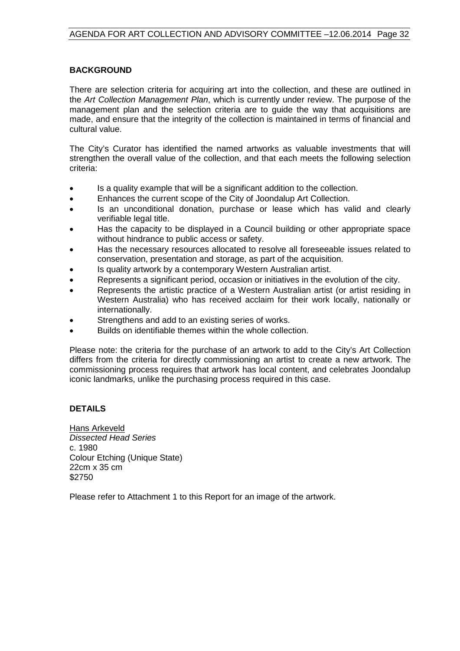#### **BACKGROUND**

There are selection criteria for acquiring art into the collection, and these are outlined in the *Art Collection Management Plan*, which is currently under review. The purpose of the management plan and the selection criteria are to guide the way that acquisitions are made, and ensure that the integrity of the collection is maintained in terms of financial and cultural value.

The City's Curator has identified the named artworks as valuable investments that will strengthen the overall value of the collection, and that each meets the following selection criteria:

- Is a quality example that will be a significant addition to the collection.
- Enhances the current scope of the City of Joondalup Art Collection.
- Is an unconditional donation, purchase or lease which has valid and clearly verifiable legal title.
- Has the capacity to be displayed in a Council building or other appropriate space without hindrance to public access or safety.
- Has the necessary resources allocated to resolve all foreseeable issues related to conservation, presentation and storage, as part of the acquisition.
- Is quality artwork by a contemporary Western Australian artist.
- Represents a significant period, occasion or initiatives in the evolution of the city.
- Represents the artistic practice of a Western Australian artist (or artist residing in Western Australia) who has received acclaim for their work locally, nationally or internationally.
- Strengthens and add to an existing series of works.
- Builds on identifiable themes within the whole collection.

Please note: the criteria for the purchase of an artwork to add to the City's Art Collection differs from the criteria for directly commissioning an artist to create a new artwork. The commissioning process requires that artwork has local content, and celebrates Joondalup iconic landmarks, unlike the purchasing process required in this case.

#### **DETAILS**

Hans Arkeveld *Dissected Head Series* c. 1980 Colour Etching (Unique State) 22cm x 35 cm \$2750

Please refer to Attachment 1 to this Report for an image of the artwork.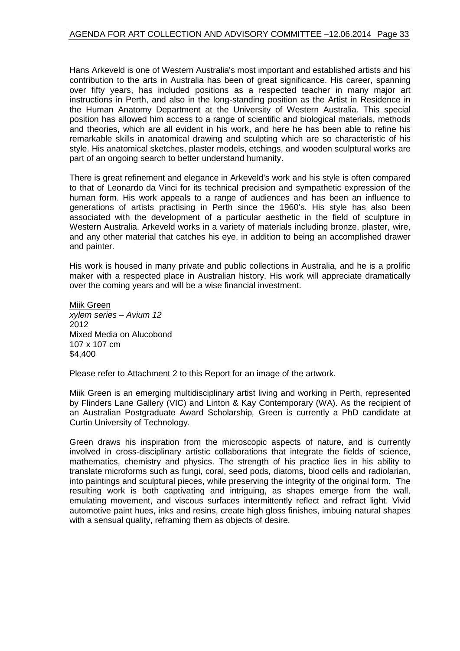Hans Arkeveld is one of Western Australia's most important and established artists and his contribution to the arts in Australia has been of great significance. His career, spanning over fifty years, has included positions as a respected teacher in many major art instructions in Perth, and also in the long-standing position as the Artist in Residence in the Human Anatomy Department at the University of Western Australia. This special position has allowed him access to a range of scientific and biological materials, methods and theories, which are all evident in his work, and here he has been able to refine his remarkable skills in anatomical drawing and sculpting which are so characteristic of his style. His anatomical sketches, plaster models, etchings, and wooden sculptural works are part of an ongoing search to better understand humanity.

There is great refinement and elegance in Arkeveld's work and his style is often compared to that of Leonardo da Vinci for its technical precision and sympathetic expression of the human form. His work appeals to a range of audiences and has been an influence to generations of artists practising in Perth since the 1960's. His style has also been associated with the development of a particular aesthetic in the field of sculpture in Western Australia. Arkeveld works in a variety of materials including bronze, plaster, wire, and any other material that catches his eye, in addition to being an accomplished drawer and painter.

His work is housed in many private and public collections in Australia, and he is a prolific maker with a respected place in Australian history. His work will appreciate dramatically over the coming years and will be a wise financial investment.

Miik Green *xylem series – Avium 12* 2012 Mixed Media on Alucobond 107 x 107 cm \$4,400

Please refer to Attachment 2 to this Report for an image of the artwork.

Miik Green is an emerging multidisciplinary artist living and working in Perth, represented by Flinders Lane Gallery (VIC) and Linton & Kay Contemporary (WA). As the recipient of an Australian Postgraduate Award Scholarship*,* Green is currently a PhD candidate at Curtin University of Technology.

Green draws his inspiration from the microscopic aspects of nature, and is currently involved in cross-disciplinary artistic collaborations that integrate the fields of science, mathematics, chemistry and physics. The strength of his practice lies in his ability to translate microforms such as fungi, coral, seed pods, diatoms, blood cells and radiolarian, into paintings and sculptural pieces, while preserving the integrity of the original form. The resulting work is both captivating and intriguing, as shapes emerge from the wall, emulating movement, and viscous surfaces intermittently reflect and refract light. Vivid automotive paint hues, inks and resins, create high gloss finishes, imbuing natural shapes with a sensual quality, reframing them as objects of desire.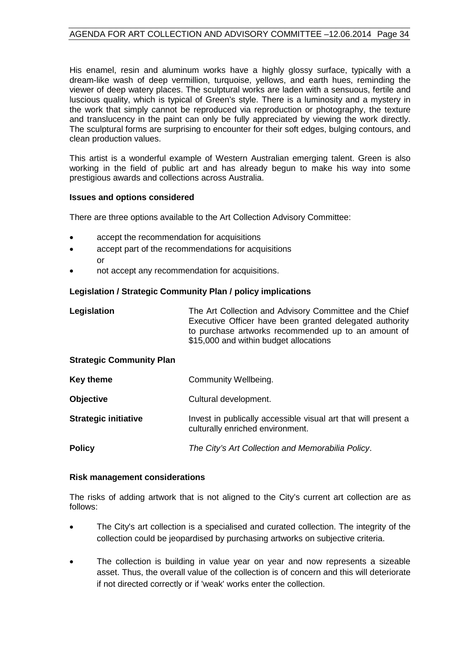His enamel, resin and aluminum works have a highly glossy surface, typically with a dream-like wash of deep vermillion, turquoise, yellows, and earth hues, reminding the viewer of deep watery places. The sculptural works are laden with a sensuous, fertile and luscious quality, which is typical of Green's style. There is a luminosity and a mystery in the work that simply cannot be reproduced via reproduction or photography, the texture and translucency in the paint can only be fully appreciated by viewing the work directly. The sculptural forms are surprising to encounter for their soft edges, bulging contours, and clean production values.

This artist is a wonderful example of Western Australian emerging talent. Green is also working in the field of public art and has already begun to make his way into some prestigious awards and collections across Australia.

#### **Issues and options considered**

There are three options available to the Art Collection Advisory Committee:

- accept the recommendation for acquisitions
- accept part of the recommendations for acquisitions or
- not accept any recommendation for acquisitions.

#### **Legislation / Strategic Community Plan / policy implications**

| Legislation                     | The Art Collection and Advisory Committee and the Chief<br>Executive Officer have been granted delegated authority<br>to purchase artworks recommended up to an amount of<br>\$15,000 and within budget allocations |
|---------------------------------|---------------------------------------------------------------------------------------------------------------------------------------------------------------------------------------------------------------------|
| <b>Strategic Community Plan</b> |                                                                                                                                                                                                                     |
| Key theme                       | Community Wellbeing.                                                                                                                                                                                                |
| <b>Objective</b>                | Cultural development.                                                                                                                                                                                               |
| <b>Strategic initiative</b>     | Invest in publically accessible visual art that will present a<br>culturally enriched environment.                                                                                                                  |
| <b>Policy</b>                   | The City's Art Collection and Memorabilia Policy.                                                                                                                                                                   |

#### **Risk management considerations**

The risks of adding artwork that is not aligned to the City's current art collection are as follows:

- The City's art collection is a specialised and curated collection. The integrity of the collection could be jeopardised by purchasing artworks on subjective criteria.
- The collection is building in value year on year and now represents a sizeable asset. Thus, the overall value of the collection is of concern and this will deteriorate if not directed correctly or if 'weak' works enter the collection.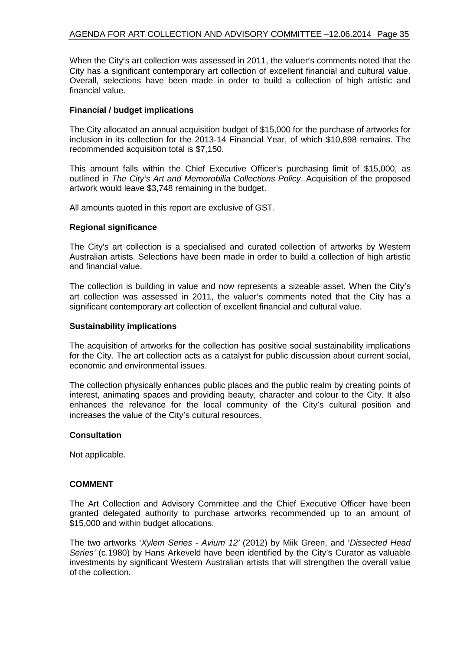#### AGENDA FOR ART COLLECTION AND ADVISORY COMMITTEE –12.06.2014 Page 35

When the City's art collection was assessed in 2011, the valuer's comments noted that the City has a significant contemporary art collection of excellent financial and cultural value. Overall, selections have been made in order to build a collection of high artistic and financial value.

#### **Financial / budget implications**

The City allocated an annual acquisition budget of \$15,000 for the purchase of artworks for inclusion in its collection for the 2013-14 Financial Year, of which \$10,898 remains. The recommended acquisition total is \$7,150.

This amount falls within the Chief Executive Officer's purchasing limit of \$15,000, as outlined in *The City's Art and Memorobilia Collections Policy*. Acquisition of the proposed artwork would leave \$3,748 remaining in the budget.

All amounts quoted in this report are exclusive of GST.

#### **Regional significance**

The City's art collection is a specialised and curated collection of artworks by Western Australian artists. Selections have been made in order to build a collection of high artistic and financial value.

The collection is building in value and now represents a sizeable asset. When the City's art collection was assessed in 2011, the valuer's comments noted that the City has a significant contemporary art collection of excellent financial and cultural value.

#### **Sustainability implications**

The acquisition of artworks for the collection has positive social sustainability implications for the City. The art collection acts as a catalyst for public discussion about current social, economic and environmental issues.

The collection physically enhances public places and the public realm by creating points of interest, animating spaces and providing beauty, character and colour to the City. It also enhances the relevance for the local community of the City's cultural position and increases the value of the City's cultural resources.

#### **Consultation**

Not applicable.

#### **COMMENT**

The Art Collection and Advisory Committee and the Chief Executive Officer have been granted delegated authority to purchase artworks recommended up to an amount of \$15,000 and within budget allocations.

The two artworks '*Xylem Series - Avium 12'* (2012) by Miik Green, and '*Dissected Head Series'* (c.1980) by Hans Arkeveld have been identified by the City's Curator as valuable investments by significant Western Australian artists that will strengthen the overall value of the collection.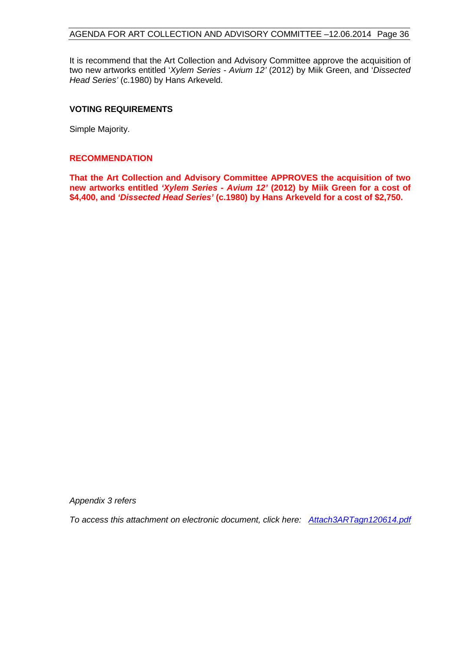#### AGENDA FOR ART COLLECTION AND ADVISORY COMMITTEE –12.06.2014 Page 36

It is recommend that the Art Collection and Advisory Committee approve the acquisition of two new artworks entitled '*Xylem Series - Avium 12'* (2012) by Miik Green, and '*Dissected Head Series'* (c.1980) by Hans Arkeveld.

#### **VOTING REQUIREMENTS**

Simple Majority.

#### **RECOMMENDATION**

**That the Art Collection and Advisory Committee APPROVES the acquisition of two new artworks entitled** *'Xylem Series - Avium 12'* **(2012) by Miik Green for a cost of \$4,400, and** *'Dissected Head Series'* **(c.1980) by Hans Arkeveld for a cost of \$2,750.**

*Appendix 3 refers*

*[To access this attachment on electronic document, click here: Attach3ARTagn120614.pdf](http://www.joondalup.wa.gov.au/files/committees/ACAC/2014/Attach3ARTagn120614.pdf)*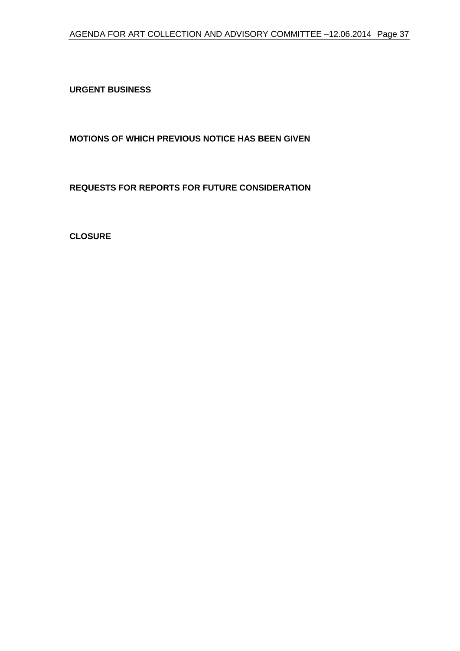### AGENDA FOR ART COLLECTION AND ADVISORY COMMITTEE –12.06.2014 Page 37

<span id="page-36-0"></span>**URGENT BUSINESS**

<span id="page-36-1"></span>**MOTIONS OF WHICH PREVIOUS NOTICE HAS BEEN GIVEN**

<span id="page-36-2"></span>**REQUESTS FOR REPORTS FOR FUTURE CONSIDERATION**

<span id="page-36-3"></span>**CLOSURE**